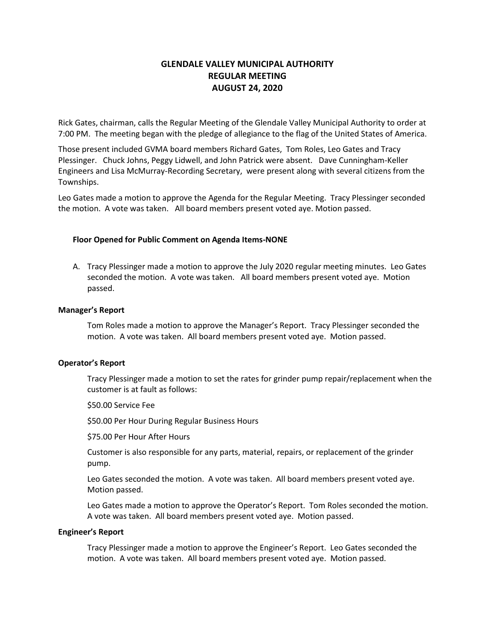# **GLENDALE VALLEY MUNICIPAL AUTHORITY REGULAR MEETING AUGUST 24, 2020**

Rick Gates, chairman, calls the Regular Meeting of the Glendale Valley Municipal Authority to order at 7:00 PM. The meeting began with the pledge of allegiance to the flag of the United States of America.

Those present included GVMA board members Richard Gates, Tom Roles, Leo Gates and Tracy Plessinger. Chuck Johns, Peggy Lidwell, and John Patrick were absent. Dave Cunningham-Keller Engineers and Lisa McMurray-Recording Secretary, were present along with several citizens from the Townships.

Leo Gates made a motion to approve the Agenda for the Regular Meeting. Tracy Plessinger seconded the motion. A vote was taken. All board members present voted aye. Motion passed.

## **Floor Opened for Public Comment on Agenda Items-NONE**

A. Tracy Plessinger made a motion to approve the July 2020 regular meeting minutes. Leo Gates seconded the motion. A vote was taken. All board members present voted aye. Motion passed.

### **Manager's Report**

Tom Roles made a motion to approve the Manager's Report. Tracy Plessinger seconded the motion. A vote was taken. All board members present voted aye. Motion passed.

### **Operator's Report**

Tracy Plessinger made a motion to set the rates for grinder pump repair/replacement when the customer is at fault as follows:

\$50.00 Service Fee

\$50.00 Per Hour During Regular Business Hours

\$75.00 Per Hour After Hours

Customer is also responsible for any parts, material, repairs, or replacement of the grinder pump.

Leo Gates seconded the motion. A vote was taken. All board members present voted aye. Motion passed.

Leo Gates made a motion to approve the Operator's Report. Tom Roles seconded the motion. A vote was taken. All board members present voted aye. Motion passed.

### **Engineer's Report**

Tracy Plessinger made a motion to approve the Engineer's Report. Leo Gates seconded the motion. A vote was taken. All board members present voted aye. Motion passed.